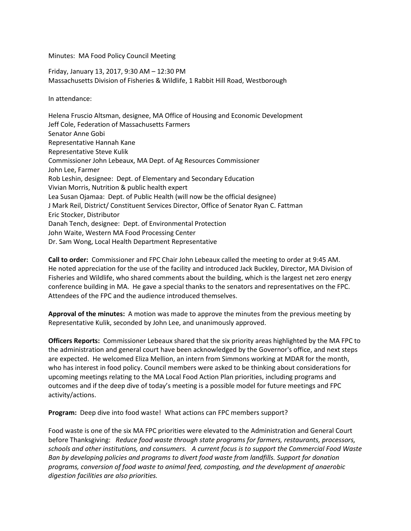Minutes: MA Food Policy Council Meeting

Friday, January 13, 2017, 9:30 AM – 12:30 PM Massachusetts Division of Fisheries & Wildlife, 1 Rabbit Hill Road, Westborough

In attendance:

Helena Fruscio Altsman, designee, MA Office of Housing and Economic Development Jeff Cole, Federation of Massachusetts Farmers Senator Anne Gobi Representative Hannah Kane Representative Steve Kulik Commissioner John Lebeaux, MA Dept. of Ag Resources Commissioner John Lee, Farmer Rob Leshin, designee: Dept. of Elementary and Secondary Education Vivian Morris, Nutrition & public health expert Lea Susan Ojamaa: Dept. of Public Health (will now be the official designee) J Mark Reil, District/ Constituent Services Director, Office of Senator Ryan C. Fattman Eric Stocker, Distributor Danah Tench, designee: Dept. of Environmental Protection John Waite, Western MA Food Processing Center Dr. Sam Wong, Local Health Department Representative

**Call to order:** Commissioner and FPC Chair John Lebeaux called the meeting to order at 9:45 AM. He noted appreciation for the use of the facility and introduced Jack Buckley, Director, MA Division of Fisheries and Wildlife, who shared comments about the building, which is the largest net zero energy conference building in MA. He gave a special thanks to the senators and representatives on the FPC. Attendees of the FPC and the audience introduced themselves.

**Approval of the minutes:** A motion was made to approve the minutes from the previous meeting by Representative Kulik, seconded by John Lee, and unanimously approved.

**Officers Reports:** Commissioner Lebeaux shared that the six priority areas highlighted by the MA FPC to the administration and general court have been acknowledged by the Governor's office, and next steps are expected. He welcomed Eliza Mellion, an intern from Simmons working at MDAR for the month, who has interest in food policy. Council members were asked to be thinking about considerations for upcoming meetings relating to the MA Local Food Action Plan priorities, including programs and outcomes and if the deep dive of today's meeting is a possible model for future meetings and FPC activity/actions.

**Program:** Deep dive into food waste! What actions can FPC members support?

Food waste is one of the six MA FPC priorities were elevated to the Administration and General Court before Thanksgiving: *Reduce food waste through state programs for farmers, restaurants, processors, schools and other institutions, and consumers. A current focus is to support the Commercial Food Waste Ban by developing policies and programs to divert food waste from landfills. Support for donation programs, conversion of food waste to animal feed, composting, and the development of anaerobic digestion facilities are also priorities.*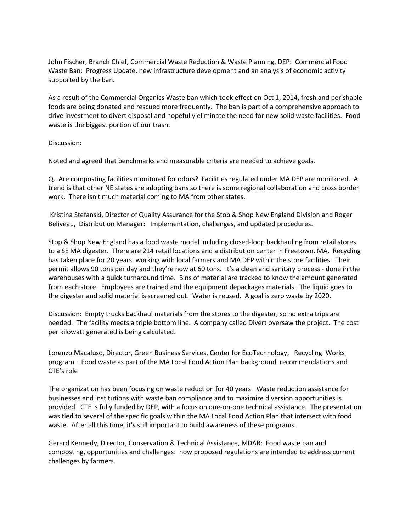John Fischer, Branch Chief, Commercial Waste Reduction & Waste Planning, DEP: Commercial Food Waste Ban: Progress Update, new infrastructure development and an analysis of economic activity supported by the ban.

As a result of the Commercial Organics Waste ban which took effect on Oct 1, 2014, fresh and perishable foods are being donated and rescued more frequently. The ban is part of a comprehensive approach to drive investment to divert disposal and hopefully eliminate the need for new solid waste facilities. Food waste is the biggest portion of our trash.

Discussion:

Noted and agreed that benchmarks and measurable criteria are needed to achieve goals.

Q. Are composting facilities monitored for odors? Facilities regulated under MA DEP are monitored. A trend is that other NE states are adopting bans so there is some regional collaboration and cross border work. There isn't much material coming to MA from other states.

Kristina Stefanski, Director of Quality Assurance for the Stop & Shop New England Division and Roger Beliveau, Distribution Manager: Implementation, challenges, and updated procedures.

Stop & Shop New England has a food waste model including closed-loop backhauling from retail stores to a SE MA digester. There are 214 retail locations and a distribution center in Freetown, MA. Recycling has taken place for 20 years, working with local farmers and MA DEP within the store facilities. Their permit allows 90 tons per day and they're now at 60 tons. It's a clean and sanitary process - done in the warehouses with a quick turnaround time. Bins of material are tracked to know the amount generated from each store. Employees are trained and the equipment depackages materials. The liquid goes to the digester and solid material is screened out. Water is reused. A goal is zero waste by 2020.

Discussion: Empty trucks backhaul materials from the stores to the digester, so no extra trips are needed. The facility meets a triple bottom line. A company called Divert oversaw the project. The cost per kilowatt generated is being calculated.

Lorenzo Macaluso, Director, Green Business Services, Center for EcoTechnology, Recycling Works program : Food waste as part of the MA Local Food Action Plan background, recommendations and CTE's role

The organization has been focusing on waste reduction for 40 years. Waste reduction assistance for businesses and institutions with waste ban compliance and to maximize diversion opportunities is provided. CTE is fully funded by DEP, with a focus on one-on-one technical assistance. The presentation was tied to several of the specific goals within the MA Local Food Action Plan that intersect with food waste. After all this time, it's still important to build awareness of these programs.

Gerard Kennedy, Director, Conservation & Technical Assistance, MDAR: Food waste ban and composting, opportunities and challenges: how proposed regulations are intended to address current challenges by farmers.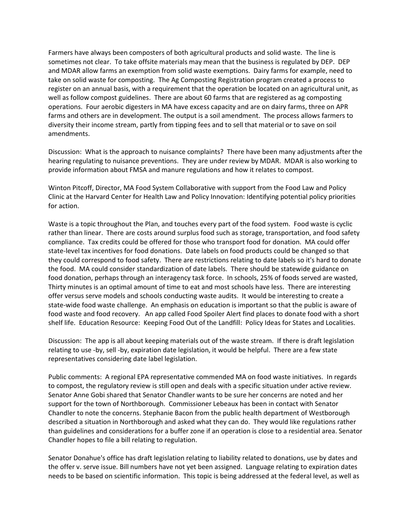Farmers have always been composters of both agricultural products and solid waste. The line is sometimes not clear. To take offsite materials may mean that the business is regulated by DEP. DEP and MDAR allow farms an exemption from solid waste exemptions. Dairy farms for example, need to take on solid waste for composting. The Ag Composting Registration program created a process to register on an annual basis, with a requirement that the operation be located on an agricultural unit, as well as follow compost guidelines. There are about 60 farms that are registered as ag composting operations. Four aerobic digesters in MA have excess capacity and are on dairy farms, three on APR farms and others are in development. The output is a soil amendment. The process allows farmers to diversity their income stream, partly from tipping fees and to sell that material or to save on soil amendments.

Discussion: What is the approach to nuisance complaints? There have been many adjustments after the hearing regulating to nuisance preventions. They are under review by MDAR. MDAR is also working to provide information about FMSA and manure regulations and how it relates to compost.

Winton Pitcoff, Director, MA Food System Collaborative with support from the Food Law and Policy Clinic at the Harvard Center for Health Law and Policy Innovation: Identifying potential policy priorities for action.

Waste is a topic throughout the Plan, and touches every part of the food system. Food waste is cyclic rather than linear. There are costs around surplus food such as storage, transportation, and food safety compliance. Tax credits could be offered for those who transport food for donation. MA could offer state-level tax incentives for food donations. Date labels on food products could be changed so that they could correspond to food safety. There are restrictions relating to date labels so it's hard to donate the food. MA could consider standardization of date labels. There should be statewide guidance on food donation, perhaps through an interagency task force. In schools, 25% of foods served are wasted, Thirty minutes is an optimal amount of time to eat and most schools have less. There are interesting offer versus serve models and schools conducting waste audits. It would be interesting to create a state-wide food waste challenge. An emphasis on education is important so that the public is aware of food waste and food recovery. An app called Food Spoiler Alert find places to donate food with a short shelf life. Education Resource: Keeping Food Out of the Landfill: Policy Ideas for States and Localities.

Discussion: The app is all about keeping materials out of the waste stream. If there is draft legislation relating to use -by, sell -by, expiration date legislation, it would be helpful. There are a few state representatives considering date label legislation.

Public comments: A regional EPA representative commended MA on food waste initiatives. In regards to compost, the regulatory review is still open and deals with a specific situation under active review. Senator Anne Gobi shared that Senator Chandler wants to be sure her concerns are noted and her support for the town of Northborough. Commissioner Lebeaux has been in contact with Senator Chandler to note the concerns. Stephanie Bacon from the public health department of Westborough described a situation in Northborough and asked what they can do. They would like regulations rather than guidelines and considerations for a buffer zone if an operation is close to a residential area. Senator Chandler hopes to file a bill relating to regulation.

Senator Donahue's office has draft legislation relating to liability related to donations, use by dates and the offer v. serve issue. Bill numbers have not yet been assigned. Language relating to expiration dates needs to be based on scientific information. This topic is being addressed at the federal level, as well as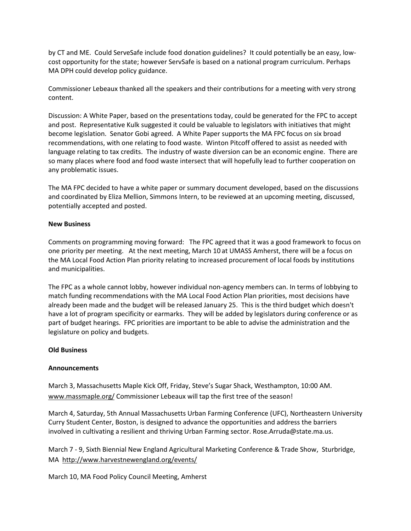by CT and ME. Could ServeSafe include food donation guidelines? It could potentially be an easy, lowcost opportunity for the state; however ServSafe is based on a national program curriculum. Perhaps MA DPH could develop policy guidance.

Commissioner Lebeaux thanked all the speakers and their contributions for a meeting with very strong content.

Discussion: A White Paper, based on the presentations today, could be generated for the FPC to accept and post. Representative Kulk suggested it could be valuable to legislators with initiatives that might become legislation. Senator Gobi agreed. A White Paper supports the MA FPC focus on six broad recommendations, with one relating to food waste. Winton Pitcoff offered to assist as needed with language relating to tax credits. The industry of waste diversion can be an economic engine. There are so many places where food and food waste intersect that will hopefully lead to further cooperation on any problematic issues.

The MA FPC decided to have a white paper or summary document developed, based on the discussions and coordinated by Eliza Mellion, Simmons Intern, to be reviewed at an upcoming meeting, discussed, potentially accepted and posted.

#### **New Business**

Comments on programming moving forward: The FPC agreed that it was a good framework to focus on one priority per meeting. At the next meeting, March 10 at UMASS Amherst, there will be a focus on the MA Local Food Action Plan priority relating to increased procurement of local foods by institutions and municipalities.

The FPC as a whole cannot lobby, however individual non-agency members can. In terms of lobbying to match funding recommendations with the MA Local Food Action Plan priorities, most decisions have already been made and the budget will be released January 25. This is the third budget which doesn't have a lot of program specificity or earmarks. They will be added by legislators during conference or as part of budget hearings. FPC priorities are important to be able to advise the administration and the legislature on policy and budgets.

### **Old Business**

### **Announcements**

March 3, Massachusetts Maple Kick Off, Friday, Steve's Sugar Shack, Westhampton, 10:00 AM. [www.massmaple.org/](http://www.massmaple.org/) Commissioner Lebeaux will tap the first tree of the season!

March 4, Saturday, 5th Annual Massachusetts Urban Farming Conference (UFC), Northeastern University Curry Student Center, Boston, is designed to advance the opportunities and address the barriers involved in cultivating a resilient and thriving Urban Farming sector. Rose.Arruda@state.ma.us.

March 7 - 9, [Sixth Biennial New England Agricultural Marketing Conference & Trade Show, Sturbridge,](http://www.harvestnewengland.org/events)  [MA](http://www.harvestnewengland.org/events) <http://www.harvestnewengland.org/events/>

March 10, MA Food Policy Council Meeting, Amherst